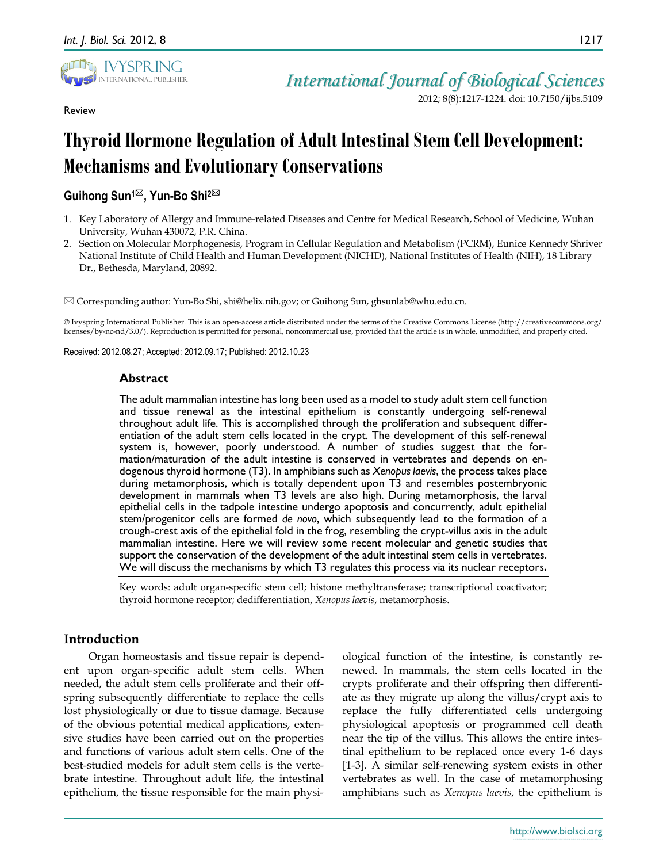

Review

# *International Journal of Biological Sciences*

2012; 8(8):1217-1224. doi: 10.7150/ijbs.5109

# **Thyroid Hormone Regulation of Adult Intestinal Stem Cell Development: Mechanisms and Evolutionary Conservations**

## Guihong Sun<sup>1⊠</sup>, Yun-Bo Shi<sup>2⊠</sup>

- 1. Key Laboratory of Allergy and Immune-related Diseases and Centre for Medical Research, School of Medicine, Wuhan University, Wuhan 430072, P.R. China.
- 2. Section on Molecular Morphogenesis, Program in Cellular Regulation and Metabolism (PCRM), Eunice Kennedy Shriver National Institute of Child Health and Human Development (NICHD), National Institutes of Health (NIH), 18 Library Dr., Bethesda, Maryland, 20892.

Corresponding author: Yun-Bo Shi, shi@helix.nih.gov; or Guihong Sun, ghsunlab@whu.edu.cn.

© Ivyspring International Publisher. This is an open-access article distributed under the terms of the Creative Commons License (http://creativecommons.org/ licenses/by-nc-nd/3.0/). Reproduction is permitted for personal, noncommercial use, provided that the article is in whole, unmodified, and properly cited.

Received: 2012.08.27; Accepted: 2012.09.17; Published: 2012.10.23

#### **Abstract**

The adult mammalian intestine has long been used as a model to study adult stem cell function and tissue renewal as the intestinal epithelium is constantly undergoing self-renewal throughout adult life. This is accomplished through the proliferation and subsequent differentiation of the adult stem cells located in the crypt. The development of this self-renewal system is, however, poorly understood. A number of studies suggest that the formation/maturation of the adult intestine is conserved in vertebrates and depends on endogenous thyroid hormone (T3). In amphibians such as *Xenopus laevis*, the process takes place during metamorphosis, which is totally dependent upon T3 and resembles postembryonic development in mammals when T3 levels are also high. During metamorphosis, the larval epithelial cells in the tadpole intestine undergo apoptosis and concurrently, adult epithelial stem/progenitor cells are formed *de novo*, which subsequently lead to the formation of a trough-crest axis of the epithelial fold in the frog, resembling the crypt-villus axis in the adult mammalian intestine. Here we will review some recent molecular and genetic studies that support the conservation of the development of the adult intestinal stem cells in vertebrates. We will discuss the mechanisms by which T3 regulates this process via its nuclear receptors**.**

Key words: adult organ-specific stem cell; histone methyltransferase; transcriptional coactivator; thyroid hormone receptor; dedifferentiation, *Xenopus laevis*, metamorphosis.

## **Introduction**

Organ homeostasis and tissue repair is dependent upon organ-specific adult stem cells. When needed, the adult stem cells proliferate and their offspring subsequently differentiate to replace the cells lost physiologically or due to tissue damage. Because of the obvious potential medical applications, extensive studies have been carried out on the properties and functions of various adult stem cells. One of the best-studied models for adult stem cells is the vertebrate intestine. Throughout adult life, the intestinal epithelium, the tissue responsible for the main physiological function of the intestine, is constantly renewed. In mammals, the stem cells located in the crypts proliferate and their offspring then differentiate as they migrate up along the villus/crypt axis to replace the fully differentiated cells undergoing physiological apoptosis or programmed cell death near the tip of the villus. This allows the entire intestinal epithelium to be replaced once every 1-6 days [1-3]. A similar self-renewing system exists in other vertebrates as well. In the case of metamorphosing amphibians such as *Xenopus laevis*, the epithelium is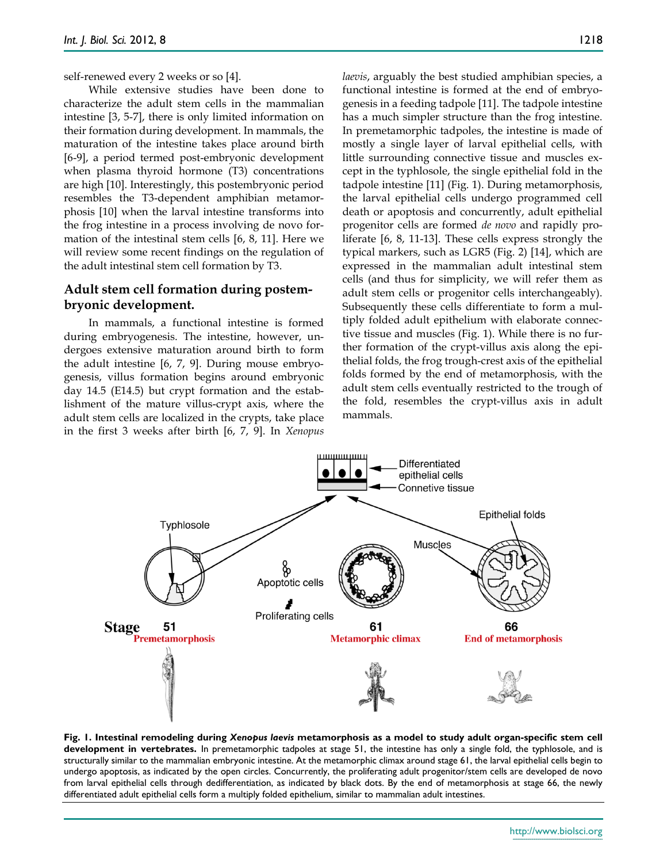self-renewed every 2 weeks or so [4].

While extensive studies have been done to characterize the adult stem cells in the mammalian intestine [3, 5-7], there is only limited information on their formation during development. In mammals, the maturation of the intestine takes place around birth [6-9], a period termed post-embryonic development when plasma thyroid hormone (T3) concentrations are high [10]. Interestingly, this postembryonic period resembles the T3-dependent amphibian metamorphosis [10] when the larval intestine transforms into the frog intestine in a process involving de novo formation of the intestinal stem cells [6, 8, 11]. Here we will review some recent findings on the regulation of the adult intestinal stem cell formation by T3.

### **Adult stem cell formation during postembryonic development.**

In mammals, a functional intestine is formed during embryogenesis. The intestine, however, undergoes extensive maturation around birth to form the adult intestine [6, 7, 9]. During mouse embryogenesis, villus formation begins around embryonic day 14.5 (E14.5) but crypt formation and the establishment of the mature villus-crypt axis, where the adult stem cells are localized in the crypts, take place in the first 3 weeks after birth [6, 7, 9]. In *Xenopus*  *laevis*, arguably the best studied amphibian species, a functional intestine is formed at the end of embryogenesis in a feeding tadpole [11]. The tadpole intestine has a much simpler structure than the frog intestine. In premetamorphic tadpoles, the intestine is made of mostly a single layer of larval epithelial cells, with little surrounding connective tissue and muscles except in the typhlosole, the single epithelial fold in the tadpole intestine [11] (Fig. 1). During metamorphosis, the larval epithelial cells undergo programmed cell death or apoptosis and concurrently, adult epithelial progenitor cells are formed *de novo* and rapidly proliferate [6, 8, 11-13]. These cells express strongly the typical markers, such as LGR5 (Fig. 2) [14], which are expressed in the mammalian adult intestinal stem cells (and thus for simplicity, we will refer them as adult stem cells or progenitor cells interchangeably). Subsequently these cells differentiate to form a multiply folded adult epithelium with elaborate connective tissue and muscles (Fig. 1). While there is no further formation of the crypt-villus axis along the epithelial folds, the frog trough-crest axis of the epithelial folds formed by the end of metamorphosis, with the adult stem cells eventually restricted to the trough of the fold, resembles the crypt-villus axis in adult mammals.



**Fig. 1. Intestinal remodeling during** *Xenopus laevis* **metamorphosis as a model to study adult organ-specific stem cell development in vertebrates.** In premetamorphic tadpoles at stage 51, the intestine has only a single fold, the typhlosole, and is structurally similar to the mammalian embryonic intestine. At the metamorphic climax around stage 61, the larval epithelial cells begin to undergo apoptosis, as indicated by the open circles. Concurrently, the proliferating adult progenitor/stem cells are developed de novo from larval epithelial cells through dedifferentiation, as indicated by black dots. By the end of metamorphosis at stage 66, the newly differentiated adult epithelial cells form a multiply folded epithelium, similar to mammalian adult intestines.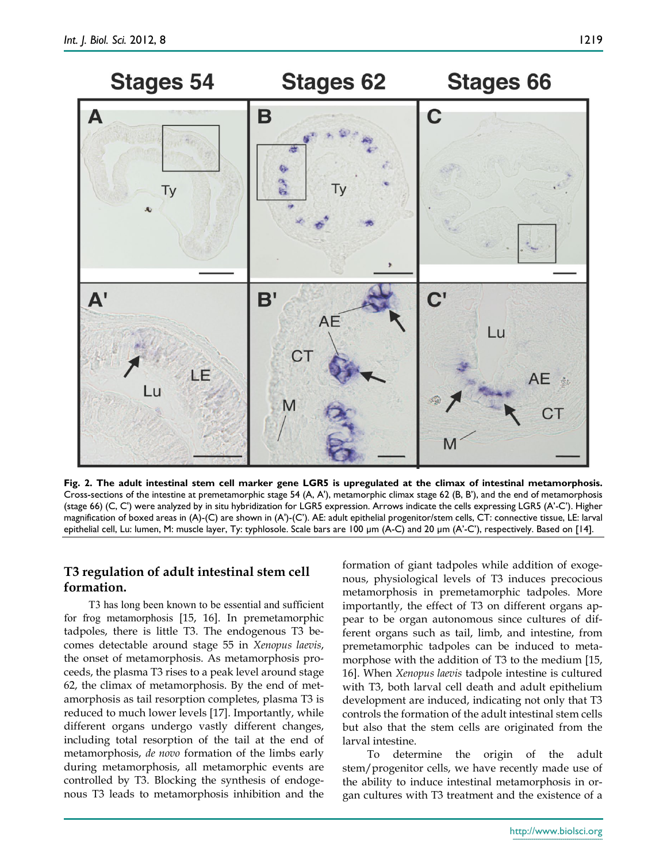

**Fig. 2. The adult intestinal stem cell marker gene LGR5 is upregulated at the climax of intestinal metamorphosis.** Cross-sections of the intestine at premetamorphic stage 54 (A, A'), metamorphic climax stage 62 (B, B'), and the end of metamorphosis (stage 66) (C, C') were analyzed by in situ hybridization for LGR5 expression. Arrows indicate the cells expressing LGR5 (A'-C'). Higher magnification of boxed areas in (A)-(C) are shown in (A')-(C'). AE: adult epithelial progenitor/stem cells, CT: connective tissue, LE: larval epithelial cell, Lu: lumen, M: muscle layer, Ty: typhlosole. Scale bars are 100 µm (A-C) and 20 µm (A'-C'), respectively. Based on [14].

## **T3 regulation of adult intestinal stem cell formation.**

T3 has long been known to be essential and sufficient for frog metamorphosis [15, 16]. In premetamorphic tadpoles, there is little T3. The endogenous T3 becomes detectable around stage 55 in *Xenopus laevis*, the onset of metamorphosis. As metamorphosis proceeds, the plasma T3 rises to a peak level around stage 62, the climax of metamorphosis. By the end of metamorphosis as tail resorption completes, plasma T3 is reduced to much lower levels [17]. Importantly, while different organs undergo vastly different changes, including total resorption of the tail at the end of metamorphosis, *de novo* formation of the limbs early during metamorphosis, all metamorphic events are controlled by T3. Blocking the synthesis of endogenous T3 leads to metamorphosis inhibition and the

formation of giant tadpoles while addition of exogenous, physiological levels of T3 induces precocious metamorphosis in premetamorphic tadpoles. More importantly, the effect of T3 on different organs appear to be organ autonomous since cultures of different organs such as tail, limb, and intestine, from premetamorphic tadpoles can be induced to metamorphose with the addition of T3 to the medium [15, 16]. When *Xenopus laevis* tadpole intestine is cultured with T3, both larval cell death and adult epithelium development are induced, indicating not only that T3 controls the formation of the adult intestinal stem cells but also that the stem cells are originated from the larval intestine.

To determine the origin of the adult stem/progenitor cells, we have recently made use of the ability to induce intestinal metamorphosis in organ cultures with T3 treatment and the existence of a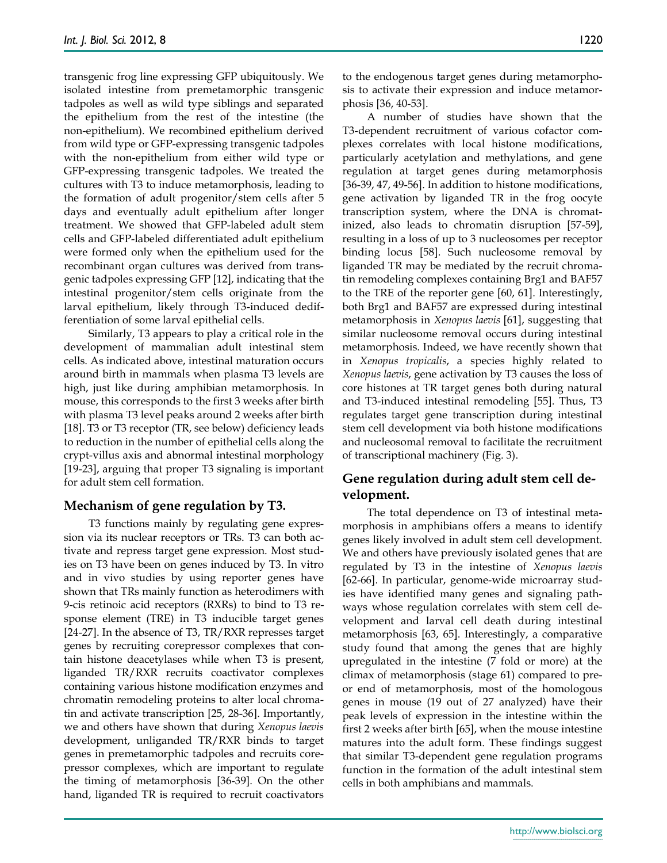transgenic frog line expressing GFP ubiquitously. We isolated intestine from premetamorphic transgenic tadpoles as well as wild type siblings and separated the epithelium from the rest of the intestine (the non-epithelium). We recombined epithelium derived from wild type or GFP-expressing transgenic tadpoles with the non-epithelium from either wild type or GFP-expressing transgenic tadpoles. We treated the cultures with T3 to induce metamorphosis, leading to the formation of adult progenitor/stem cells after 5 days and eventually adult epithelium after longer treatment. We showed that GFP-labeled adult stem cells and GFP-labeled differentiated adult epithelium were formed only when the epithelium used for the recombinant organ cultures was derived from transgenic tadpoles expressing GFP [12], indicating that the intestinal progenitor/stem cells originate from the larval epithelium, likely through T3-induced dedifferentiation of some larval epithelial cells.

Similarly, T3 appears to play a critical role in the development of mammalian adult intestinal stem cells. As indicated above, intestinal maturation occurs around birth in mammals when plasma T3 levels are high, just like during amphibian metamorphosis. In mouse, this corresponds to the first 3 weeks after birth with plasma T3 level peaks around 2 weeks after birth [18]. T3 or T3 receptor (TR, see below) deficiency leads to reduction in the number of epithelial cells along the crypt-villus axis and abnormal intestinal morphology [19-23], arguing that proper T3 signaling is important for adult stem cell formation.

### **Mechanism of gene regulation by T3.**

T3 functions mainly by regulating gene expression via its nuclear receptors or TRs. T3 can both activate and repress target gene expression. Most studies on T3 have been on genes induced by T3. In vitro and in vivo studies by using reporter genes have shown that TRs mainly function as heterodimers with 9-cis retinoic acid receptors (RXRs) to bind to T3 response element (TRE) in T3 inducible target genes [24-27]. In the absence of T3, TR/RXR represses target genes by recruiting corepressor complexes that contain histone deacetylases while when T3 is present, liganded TR/RXR recruits coactivator complexes containing various histone modification enzymes and chromatin remodeling proteins to alter local chromatin and activate transcription [25, 28-36]. Importantly, we and others have shown that during *Xenopus laevis* development, unliganded TR/RXR binds to target genes in premetamorphic tadpoles and recruits corepressor complexes, which are important to regulate the timing of metamorphosis [36-39]. On the other hand, liganded TR is required to recruit coactivators

to the endogenous target genes during metamorphosis to activate their expression and induce metamorphosis [36, 40-53].

A number of studies have shown that the T3-dependent recruitment of various cofactor complexes correlates with local histone modifications, particularly acetylation and methylations, and gene regulation at target genes during metamorphosis [36-39, 47, 49-56]. In addition to histone modifications, gene activation by liganded TR in the frog oocyte transcription system, where the DNA is chromatinized, also leads to chromatin disruption [57-59], resulting in a loss of up to 3 nucleosomes per receptor binding locus [58]. Such nucleosome removal by liganded TR may be mediated by the recruit chromatin remodeling complexes containing Brg1 and BAF57 to the TRE of the reporter gene [60, 61]. Interestingly, both Brg1 and BAF57 are expressed during intestinal metamorphosis in *Xenopus laevis* [61], suggesting that similar nucleosome removal occurs during intestinal metamorphosis. Indeed, we have recently shown that in *Xenopus tropicalis*, a species highly related to *Xenopus laevis*, gene activation by T3 causes the loss of core histones at TR target genes both during natural and T3-induced intestinal remodeling [55]. Thus, T3 regulates target gene transcription during intestinal stem cell development via both histone modifications and nucleosomal removal to facilitate the recruitment of transcriptional machinery (Fig. 3).

## **Gene regulation during adult stem cell development.**

The total dependence on T3 of intestinal metamorphosis in amphibians offers a means to identify genes likely involved in adult stem cell development. We and others have previously isolated genes that are regulated by T3 in the intestine of *Xenopus laevis* [62-66]. In particular, genome-wide microarray studies have identified many genes and signaling pathways whose regulation correlates with stem cell development and larval cell death during intestinal metamorphosis [63, 65]. Interestingly, a comparative study found that among the genes that are highly upregulated in the intestine (7 fold or more) at the climax of metamorphosis (stage 61) compared to preor end of metamorphosis, most of the homologous genes in mouse (19 out of 27 analyzed) have their peak levels of expression in the intestine within the first 2 weeks after birth [65], when the mouse intestine matures into the adult form. These findings suggest that similar T3-dependent gene regulation programs function in the formation of the adult intestinal stem cells in both amphibians and mammals.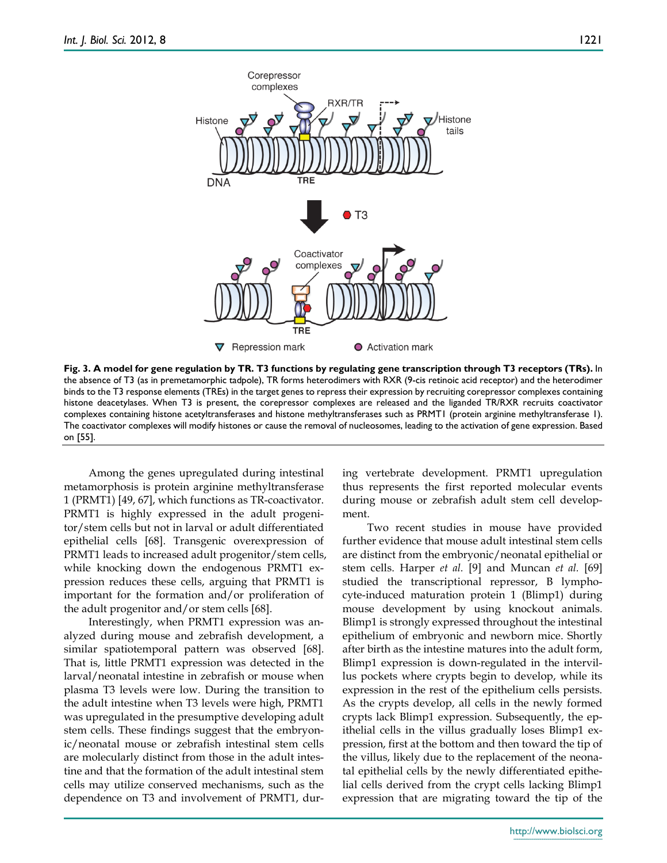

**Fig. 3. A model for gene regulation by TR. T3 functions by regulating gene transcription through T3 receptors (TRs).** In the absence of T3 (as in premetamorphic tadpole), TR forms heterodimers with RXR (9-cis retinoic acid receptor) and the heterodimer binds to the T3 response elements (TREs) in the target genes to repress their expression by recruiting corepressor complexes containing histone deacetylases. When T3 is present, the corepressor complexes are released and the liganded TR/RXR recruits coactivator complexes containing histone acetyltransferases and histone methyltransferases such as PRMT1 (protein arginine methyltransferase 1). The coactivator complexes will modify histones or cause the removal of nucleosomes, leading to the activation of gene expression. Based on [55].

Among the genes upregulated during intestinal metamorphosis is protein arginine methyltransferase 1 (PRMT1) [49, 67], which functions as TR-coactivator. PRMT1 is highly expressed in the adult progenitor/stem cells but not in larval or adult differentiated epithelial cells [68]. Transgenic overexpression of PRMT1 leads to increased adult progenitor/stem cells, while knocking down the endogenous PRMT1 expression reduces these cells, arguing that PRMT1 is important for the formation and/or proliferation of the adult progenitor and/or stem cells [68].

Interestingly, when PRMT1 expression was analyzed during mouse and zebrafish development, a similar spatiotemporal pattern was observed [68]. That is, little PRMT1 expression was detected in the larval/neonatal intestine in zebrafish or mouse when plasma T3 levels were low. During the transition to the adult intestine when T3 levels were high, PRMT1 was upregulated in the presumptive developing adult stem cells. These findings suggest that the embryonic/neonatal mouse or zebrafish intestinal stem cells are molecularly distinct from those in the adult intestine and that the formation of the adult intestinal stem cells may utilize conserved mechanisms, such as the dependence on T3 and involvement of PRMT1, during vertebrate development. PRMT1 upregulation thus represents the first reported molecular events during mouse or zebrafish adult stem cell development.

Two recent studies in mouse have provided further evidence that mouse adult intestinal stem cells are distinct from the embryonic/neonatal epithelial or stem cells. Harper *et al.* [9] and Muncan *et al.* [69] studied the transcriptional repressor, B lymphocyte-induced maturation protein 1 (Blimp1) during mouse development by using knockout animals. Blimp1 is strongly expressed throughout the intestinal epithelium of embryonic and newborn mice. Shortly after birth as the intestine matures into the adult form, Blimp1 expression is down-regulated in the intervillus pockets where crypts begin to develop, while its expression in the rest of the epithelium cells persists. As the crypts develop, all cells in the newly formed crypts lack Blimp1 expression. Subsequently, the epithelial cells in the villus gradually loses Blimp1 expression, first at the bottom and then toward the tip of the villus, likely due to the replacement of the neonatal epithelial cells by the newly differentiated epithelial cells derived from the crypt cells lacking Blimp1 expression that are migrating toward the tip of the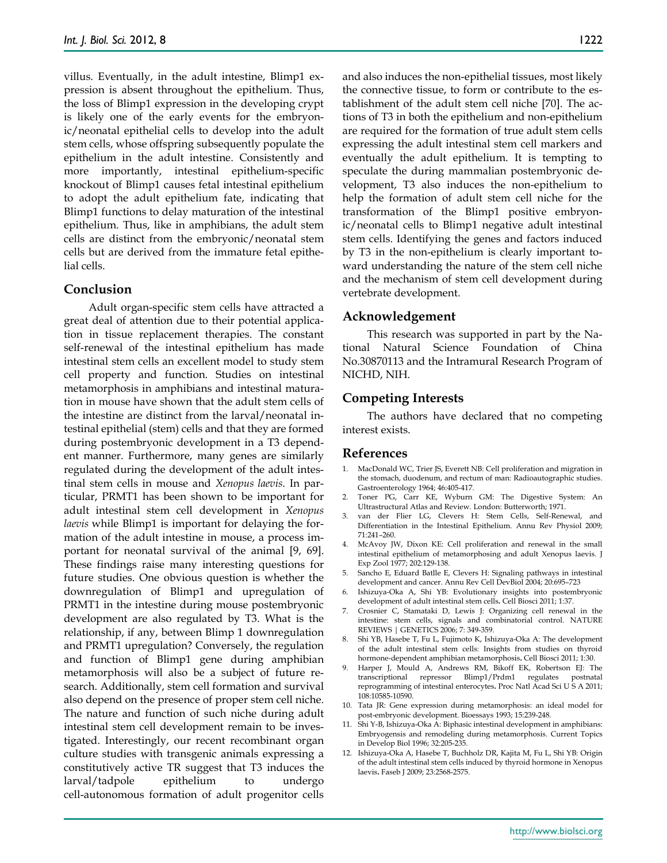villus. Eventually, in the adult intestine, Blimp1 expression is absent throughout the epithelium. Thus, the loss of Blimp1 expression in the developing crypt is likely one of the early events for the embryonic/neonatal epithelial cells to develop into the adult stem cells, whose offspring subsequently populate the epithelium in the adult intestine. Consistently and more importantly, intestinal epithelium-specific knockout of Blimp1 causes fetal intestinal epithelium to adopt the adult epithelium fate, indicating that Blimp1 functions to delay maturation of the intestinal epithelium. Thus, like in amphibians, the adult stem cells are distinct from the embryonic/neonatal stem cells but are derived from the immature fetal epithelial cells.

#### **Conclusion**

Adult organ-specific stem cells have attracted a great deal of attention due to their potential application in tissue replacement therapies. The constant self-renewal of the intestinal epithelium has made intestinal stem cells an excellent model to study stem cell property and function. Studies on intestinal metamorphosis in amphibians and intestinal maturation in mouse have shown that the adult stem cells of the intestine are distinct from the larval/neonatal intestinal epithelial (stem) cells and that they are formed during postembryonic development in a T3 dependent manner. Furthermore, many genes are similarly regulated during the development of the adult intestinal stem cells in mouse and *Xenopus laevis*. In particular, PRMT1 has been shown to be important for adult intestinal stem cell development in *Xenopus laevis* while Blimp1 is important for delaying the formation of the adult intestine in mouse, a process important for neonatal survival of the animal [9, 69]. These findings raise many interesting questions for future studies. One obvious question is whether the downregulation of Blimp1 and upregulation of PRMT1 in the intestine during mouse postembryonic development are also regulated by T3. What is the relationship, if any, between Blimp 1 downregulation and PRMT1 upregulation? Conversely, the regulation and function of Blimp1 gene during amphibian metamorphosis will also be a subject of future research. Additionally, stem cell formation and survival also depend on the presence of proper stem cell niche. The nature and function of such niche during adult intestinal stem cell development remain to be investigated. Interestingly, our recent recombinant organ culture studies with transgenic animals expressing a constitutively active TR suggest that T3 induces the larval/tadpole epithelium to undergo cell-autonomous formation of adult progenitor cells

and also induces the non-epithelial tissues, most likely the connective tissue, to form or contribute to the establishment of the adult stem cell niche [70]. The actions of T3 in both the epithelium and non-epithelium are required for the formation of true adult stem cells expressing the adult intestinal stem cell markers and eventually the adult epithelium. It is tempting to speculate the during mammalian postembryonic development, T3 also induces the non-epithelium to help the formation of adult stem cell niche for the transformation of the Blimp1 positive embryonic/neonatal cells to Blimp1 negative adult intestinal stem cells. Identifying the genes and factors induced by T3 in the non-epithelium is clearly important toward understanding the nature of the stem cell niche and the mechanism of stem cell development during vertebrate development.

#### **Acknowledgement**

This research was supported in part by the National Natural Science Foundation of China No.30870113 and the Intramural Research Program of NICHD, NIH.

#### **Competing Interests**

The authors have declared that no competing interest exists.

#### **References**

- 1. MacDonald WC, Trier JS, Everett NB: Cell proliferation and migration in the stomach, duodenum, and rectum of man: Radioautographic studies. Gastroenterology 1964; 46:405-417.
- 2. Toner PG, Carr KE, Wyburn GM: The Digestive System: An Ultrastructural Atlas and Review. London: Butterworth; 1971.
- 3. van der Flier LG, Clevers H: Stem Cells, Self-Renewal, and Differentiation in the Intestinal Epithelium. Annu Rev Physiol 2009; 71:241–260.
- 4. McAvoy JW, Dixon KE: Cell proliferation and renewal in the small intestinal epithelium of metamorphosing and adult Xenopus laevis. J Exp Zool 1977; 202:129-138.
- 5. Sancho E, Eduard Batlle E, Clevers H: Signaling pathways in intestinal development and cancer. Annu Rev Cell DevBiol 2004; 20:695–723
- 6. Ishizuya-Oka A, Shi YB: Evolutionary insights into postembryonic development of adult intestinal stem cells**.** Cell Biosci 2011; 1:37.
- 7. Crosnier C, Stamataki D, Lewis J: Organizing cell renewal in the intestine: stem cells, signals and combinatorial control. NATURE REVIEWS | GENETICS 2006; 7: 349-359.
- 8. Shi YB, Hasebe T, Fu L, Fujimoto K, Ishizuya-Oka A: The development of the adult intestinal stem cells: Insights from studies on thyroid hormone-dependent amphibian metamorphosis**.** Cell Biosci 2011; 1:30.
- 9. Harper J, Mould A, Andrews RM, Bikoff EK, Robertson EJ: The transcriptional repressor Blimp1/Prdm1 regulates postnatal reprogramming of intestinal enterocytes**.** Proc Natl Acad Sci U S A 2011; 108:10585-10590.
- 10. Tata JR: Gene expression during metamorphosis: an ideal model for post-embryonic development. Bioessays 1993; 15:239-248.
- 11. Shi Y-B, Ishizuya-Oka A: Biphasic intestinal development in amphibians: Embryogensis and remodeling during metamorphosis. Current Topics in Develop Biol 1996; 32:205-235.
- 12. Ishizuya-Oka A, Hasebe T, Buchholz DR, Kajita M, Fu L, Shi YB: Origin of the adult intestinal stem cells induced by thyroid hormone in Xenopus laevis**.** Faseb J 2009; 23:2568-2575.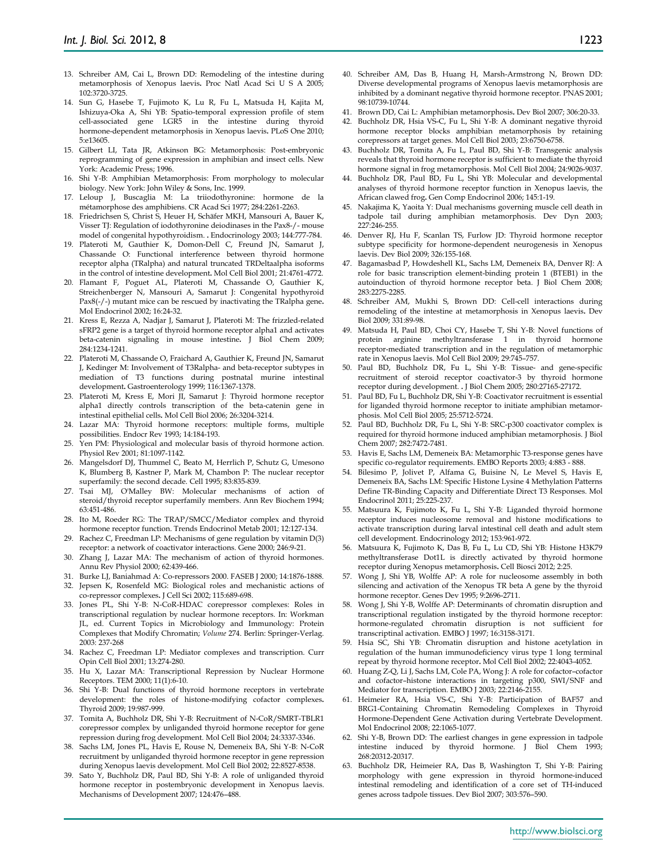- 13. Schreiber AM, Cai L, Brown DD: Remodeling of the intestine during metamorphosis of Xenopus laevis**.** Proc Natl Acad Sci U S A 2005; 102:3720-3725.
- 14. Sun G, Hasebe T, Fujimoto K, Lu R, Fu L, Matsuda H, Kajita M, Ishizuya-Oka A, Shi YB: Spatio-temporal expression profile of stem cell-associated gene LGR5 in the intestine during thyroid hormone-dependent metamorphosis in Xenopus laevis**.** PLoS One 2010; 5:e13605.
- 15. Gilbert LI, Tata JR, Atkinson BG: Metamorphosis: Post-embryonic reprogramming of gene expression in amphibian and insect cells*.* New York: Academic Press; 1996.
- 16. Shi Y-B: Amphibian Metamorphosis: From morphology to molecular biology*.* New York: John Wiley & Sons, Inc. 1999.
- 17. Leloup J, Buscaglia M: La triiodothyronine: hormone de la métamorphose des amphibiens. CR Acad Sci 1977; 284:2261-2263.
- 18. Friedrichsen S, Christ S, Heuer H, Schäfer MKH, Mansouri A, Bauer K, Visser TJ: Regulation of iodothyronine deiodinases in the Pax8-/- mouse model of congenital hypothyroidism. **.** Endocrinology 2003; 144:777-784.
- 19. Plateroti M, Gauthier K, Domon-Dell C, Freund JN, Samarut J, Chassande O: Functional interference between thyroid hormone receptor alpha (TRalpha) and natural truncated TRDeltaalpha isoforms in the control of intestine development**.** Mol Cell Biol 2001; 21:4761-4772.
- 20. Flamant F, Poguet AL, Plateroti M, Chassande O, Gauthier K, Streichenberger N, Mansouri A, Samarut J: Congenital hypothyroid Pax8(-/-) mutant mice can be rescued by inactivating the TRalpha gene**.** Mol Endocrinol 2002; 16:24-32.
- 21. Kress E, Rezza A, Nadjar J, Samarut J, Plateroti M: The frizzled-related sFRP2 gene is a target of thyroid hormone receptor alpha1 and activates beta-catenin signaling in mouse intestine**.** J Biol Chem 2009; 284:1234-1241.
- 22. Plateroti M, Chassande O, Fraichard A, Gauthier K, Freund JN, Samarut J, Kedinger M: Involvement of T3Ralpha- and beta-receptor subtypes in mediation of T3 functions during postnatal murine intestinal development**.** Gastroenterology 1999; 116:1367-1378.
- 23. Plateroti M, Kress E, Mori JI, Samarut J: Thyroid hormone receptor alpha1 directly controls transcription of the beta-catenin gene in intestinal epithelial cells**.** Mol Cell Biol 2006; 26:3204-3214.
- 24. Lazar MA: Thyroid hormone receptors: multiple forms, multiple possibilities. Endocr Rev 1993; 14:184-193.
- 25. Yen PM: Physiological and molecular basis of thyroid hormone action. Physiol Rev 2001; 81:1097-1142.
- 26. Mangelsdorf DJ, Thummel C, Beato M, Herrlich P, Schutz G, Umesono K, Blumberg B, Kastner P, Mark M, Chambon P: The nuclear receptor superfamily: the second decade. Cell 1995; 83:835-839.
- 27. Tsai MJ, O'Malley BW: Molecular mechanisms of action of steroid/thyroid receptor superfamily members. Ann Rev Biochem 1994; 63:451-486.
- 28. Ito M, Roeder RG: The TRAP/SMCC/Mediator complex and thyroid hormone receptor function. Trends Endocrinol Metab 2001; 12:127-134.
- 29. Rachez C, Freedman LP: Mechanisms of gene regulation by vitamin D(3) receptor: a network of coactivator interactions. Gene 2000; 246:9-21.
- 30. Zhang J, Lazar MA: The mechanism of action of thyroid hormones. Annu Rev Physiol 2000; 62:439-466.
- 31. Burke LJ, Baniahmad A: Co-repressors 2000. FASEB J 2000; 14:1876-1888.
- 32. Jepsen K, Rosenfeld MG: Biological roles and mechanistic actions of co-repressor complexes**.** J Cell Sci 2002; 115:689-698.
- 33. Jones PL, Shi Y-B: N-CoR-HDAC corepressor complexes: Roles in transcriptional regulation by nuclear hormone receptors. In: Workman JL, ed. Current Topics in Microbiology and Immunology: Protein Complexes that Modify Chromatin; *Volume* 274. Berlin: Springer-Verlag. 2003: 237-268
- 34. Rachez C, Freedman LP: Mediator complexes and transcription. Curr Opin Cell Biol 2001; 13:274-280.
- 35. Hu X, Lazar MA: Transcriptional Repression by Nuclear Hormone Receptors. TEM 2000; 11(1):6-10.
- 36. Shi Y-B: Dual functions of thyroid hormone receptors in vertebrate development: the roles of histone-modifying cofactor complexes**.** Thyroid 2009; 19:987-999.
- 37. Tomita A, Buchholz DR, Shi Y-B: Recruitment of N-CoR/SMRT-TBLR1 corepressor complex by unliganded thyroid hormone receptor for gene repression during frog development. Mol Cell Biol 2004; 24:3337-3346.
- 38. Sachs LM, Jones PL, Havis E, Rouse N, Demeneix BA, Shi Y-B: N-CoR recruitment by unliganded thyroid hormone receptor in gene repression during Xenopus laevis development. Mol Cell Biol 2002; 22:8527-8538.
- 39. Sato Y, Buchholz DR, Paul BD, Shi Y-B: A role of unliganded thyroid hormone receptor in postembryonic development in Xenopus laevis. Mechanisms of Development 2007; 124:476–488.
- 40. Schreiber AM, Das B, Huang H, Marsh-Armstrong N, Brown DD: Diverse developmental programs of Xenopus laevis metamorphosis are inhibited by a dominant negative thyroid hormone receptor. PNAS 2001; 98:10739-10744.
- 41. Brown DD, Cai L: Amphibian metamorphosis**.** Dev Biol 2007; 306:20-33.
- 42. Buchholz DR, Hsia VS-C, Fu L, Shi Y-B: A dominant negative thyroid hormone receptor blocks amphibian metamorphosis by retaining corepressors at target genes. Mol Cell Biol 2003; 23:6750-6758.
- 43. Buchholz DR, Tomita A, Fu L, Paul BD, Shi Y-B: Transgenic analysis reveals that thyroid hormone receptor is sufficient to mediate the thyroid hormone signal in frog metamorphosis. Mol Cell Biol 2004; 24:9026-9037.
- 44. Buchholz DR, Paul BD, Fu L, Shi YB: Molecular and developmental analyses of thyroid hormone receptor function in Xenopus laevis, the African clawed frog**.** Gen Comp Endocrinol 2006; 145:1-19.
- 45. Nakajima K, Yaoita Y: Dual mechanisms governing muscle cell death in tadpole tail during amphibian metamorphosis. Dev Dyn 2003; 227:246-255.
- 46. Denver RJ, Hu F, Scanlan TS, Furlow JD: Thyroid hormone receptor subtype specificity for hormone-dependent neurogenesis in Xenopus laevis. Dev Biol 2009; 326:155-168.
- 47. Bagamasbad P, Howdeshell KL, Sachs LM, Demeneix BA, Denver RJ: A role for basic transcription element-binding protein 1 (BTEB1) in the autoinduction of thyroid hormone receptor beta. J Biol Chem 2008; 283:2275-2285.
- 48. Schreiber AM, Mukhi S, Brown DD: Cell-cell interactions during remodeling of the intestine at metamorphosis in Xenopus laevis**.** Dev Biol 2009; 331:89-98.
- 49. Matsuda H, Paul BD, Choi CY, Hasebe T, Shi Y-B: Novel functions of protein arginine methyltransferase 1 in thyroid hormone receptor-mediated transcription and in the regulation of metamorphic rate in Xenopus laevis. Mol Cell Biol 2009; 29:745–757.
- 50. Paul BD, Buchholz DR, Fu L, Shi Y-B: Tissue- and gene-specific recruitment of steroid receptor coactivator-3 by thyroid hormone receptor during development. **.** J Biol Chem 2005; 280:27165-27172.
- 51. Paul BD, Fu L, Buchholz DR, Shi Y-B: Coactivator recruitment is essential for liganded thyroid hormone receptor to initiate amphibian metamorphosis. Mol Cell Biol 2005; 25:5712-5724.
- 52. Paul BD, Buchholz DR, Fu L, Shi Y-B: SRC-p300 coactivator complex is required for thyroid hormone induced amphibian metamorphosis. J Biol Chem 2007; 282:7472-7481.
- 53. Havis E, Sachs LM, Demeneix BA: Metamorphic T3-response genes have specific co-regulator requirements. EMBO Reports 2003; 4:883 - 888.
- 54. Bilesimo P, Jolivet P, Alfama G, Buisine N, Le Mevel S, Havis E, Demeneix BA, Sachs LM: Specific Histone Lysine 4 Methylation Patterns Define TR-Binding Capacity and Differentiate Direct T3 Responses. Mol Endocrinol 2011; 25:225-237.
- 55. Matsuura K, Fujimoto K, Fu L, Shi Y-B: Liganded thyroid hormone receptor induces nucleosome removal and histone modifications to activate transcription during larval intestinal cell death and adult stem cell development. Endocrinology 2012; 153:961-972.
- 56. Matsuura K, Fujimoto K, Das B, Fu L, Lu CD, Shi YB: Histone H3K79 methyltransferase Dot1L is directly activated by thyroid hormone receptor during Xenopus metamorphosis**.** Cell Biosci 2012; 2:25.
- 57. Wong J, Shi YB, Wolffe AP: A role for nucleosome assembly in both silencing and activation of the Xenopus TR beta A gene by the thyroid hormone receptor. Genes Dev 1995; 9:2696-2711.
- 58. Wong J, Shi Y-B, Wolffe AP: Determinants of chromatin disruption and transcriptional regulation instigated by the thyroid hormone receptor: hormone-regulated chromatin disruption is not sufficient for transcriptinal activation. EMBO J 1997; 16:3158-3171.
- 59. Hsia SC, Shi YB: Chromatin disruption and histone acetylation in regulation of the human immunodeficiency virus type 1 long terminal repeat by thyroid hormone receptor**.** Mol Cell Biol 2002; 22:4043-4052.
- 60. Huang Z-Q, Li J, Sachs LM, Cole PA, Wong J: A role for cofactor–cofactor and cofactor–histone interactions in targeting p300, SWI/SNF and Mediator for transcription. EMBO J 2003; 22:2146-2155.
- 61. Heimeier RA, Hsia VS-C, Shi Y-B: Participation of BAF57 and BRG1-Containing Chromatin Remodeling Complexes in Thyroid Hormone-Dependent Gene Activation during Vertebrate Development. Mol Endocrinol 2008; 22:1065-1077.
- 62. Shi Y-B, Brown DD: The earliest changes in gene expression in tadpole intestine induced by thyroid hormone. J Biol Chem 1993; 268:20312-20317.
- 63. Buchholz DR, Heimeier RA, Das B, Washington T, Shi Y-B: Pairing morphology with gene expression in thyroid hormone-induced intestinal remodeling and identification of a core set of TH-induced genes across tadpole tissues. Dev Biol 2007; 303:576–590.